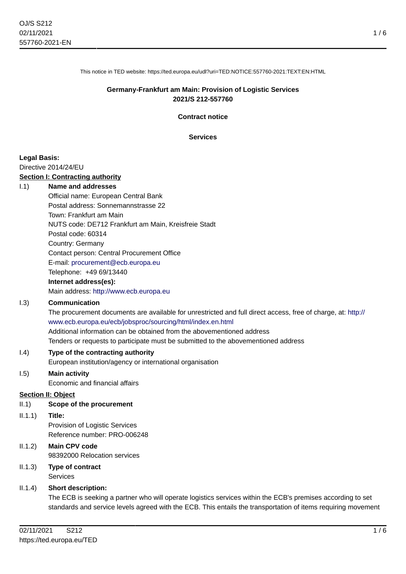This notice in TED website: https://ted.europa.eu/udl?uri=TED:NOTICE:557760-2021:TEXT:EN:HTML

## **Germany-Frankfurt am Main: Provision of Logistic Services 2021/S 212-557760**

**Contract notice**

**Services**

## **Legal Basis:**

Directive 2014/24/EU

## **Section I: Contracting authority**

#### I.1) **Name and addresses**

Official name: European Central Bank Postal address: Sonnemannstrasse 22 Town: Frankfurt am Main NUTS code: DE712 Frankfurt am Main, Kreisfreie Stadt Postal code: 60314 Country: Germany Contact person: Central Procurement Office E-mail: [procurement@ecb.europa.eu](mailto:procurement@ecb.europa.eu) Telephone: +49 69/13440

## **Internet address(es):**

Main address:<http://www.ecb.europa.eu>

## I.3) **Communication**

The procurement documents are available for unrestricted and full direct access, free of charge, at: [http://](http://www.ecb.europa.eu/ecb/jobsproc/sourcing/html/index.en.html) [www.ecb.europa.eu/ecb/jobsproc/sourcing/html/index.en.html](http://www.ecb.europa.eu/ecb/jobsproc/sourcing/html/index.en.html) Additional information can be obtained from the abovementioned address Tenders or requests to participate must be submitted to the abovementioned address

I.4) **Type of the contracting authority**

European institution/agency or international organisation

# I.5) **Main activity**

Economic and financial affairs

## **Section II: Object**

## II.1) **Scope of the procurement**

II.1.1) **Title:**

Provision of Logistic Services Reference number: PRO-006248

- II.1.2) **Main CPV code** 98392000 Relocation services
- II.1.3) **Type of contract** Services

## II.1.4) **Short description:**

The ECB is seeking a partner who will operate logistics services within the ECB's premises according to set standards and service levels agreed with the ECB. This entails the transportation of items requiring movement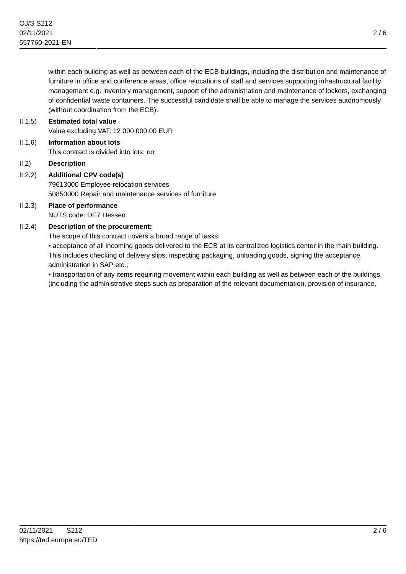within each building as well as between each of the ECB buildings, including the distribution and maintenance of furniture in office and conference areas, office relocations of staff and services supporting infrastructural facility management e.g. inventory management, support of the administration and maintenance of lockers, exchanging of confidential waste containers. The successful candidate shall be able to manage the services autonomously (without coordination from the ECB).

# II.1.5) **Estimated total value** Value excluding VAT: 12 000 000.00 EUR II.1.6) **Information about lots**

- This contract is divided into lots: no
- II.2) **Description**

# II.2.2) **Additional CPV code(s)** 79613000 Employee relocation services 50850000 Repair and maintenance services of furniture

# II.2.3) **Place of performance** NUTS code: DE7 Hessen

# II.2.4) **Description of the procurement:**

The scope of this contract covers a broad range of tasks:

• acceptance of all incoming goods delivered to the ECB at its centralized logistics center in the main building. This includes checking of delivery slips, inspecting packaging, unloading goods, signing the acceptance, administration in SAP etc.;

• transportation of any items requiring movement within each building as well as between each of the buildings (including the administrative steps such as preparation of the relevant documentation, provision of insurance,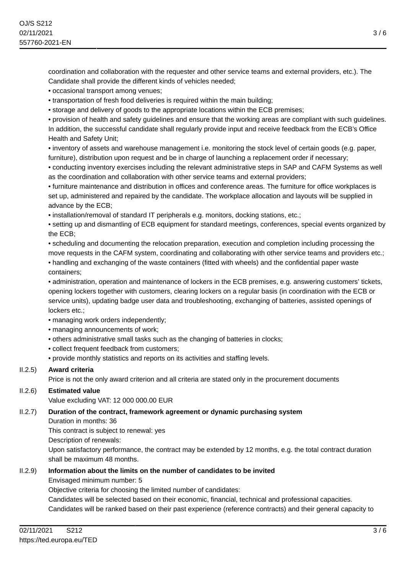coordination and collaboration with the requester and other service teams and external providers, etc.). The Candidate shall provide the different kinds of vehicles needed;

• occasional transport among venues;

• transportation of fresh food deliveries is required within the main building;

• storage and delivery of goods to the appropriate locations within the ECB premises;

• provision of health and safety guidelines and ensure that the working areas are compliant with such guidelines. In addition, the successful candidate shall regularly provide input and receive feedback from the ECB's Office Health and Safety Unit;

• inventory of assets and warehouse management i.e. monitoring the stock level of certain goods (e.g. paper, furniture), distribution upon request and be in charge of launching a replacement order if necessary;

• conducting inventory exercises including the relevant administrative steps in SAP and CAFM Systems as well as the coordination and collaboration with other service teams and external providers;

• furniture maintenance and distribution in offices and conference areas. The furniture for office workplaces is set up, administered and repaired by the candidate. The workplace allocation and layouts will be supplied in advance by the ECB;

• installation/removal of standard IT peripherals e.g. monitors, docking stations, etc.;

• setting up and dismantling of ECB equipment for standard meetings, conferences, special events organized by the ECB;

• scheduling and documenting the relocation preparation, execution and completion including processing the move requests in the CAFM system, coordinating and collaborating with other service teams and providers etc.; • handling and exchanging of the waste containers (fitted with wheels) and the confidential paper waste containers;

• administration, operation and maintenance of lockers in the ECB premises, e.g. answering customers' tickets, opening lockers together with customers, clearing lockers on a regular basis (in coordination with the ECB or service units), updating badge user data and troubleshooting, exchanging of batteries, assisted openings of lockers etc.:

• managing work orders independently;

- managing announcements of work;
- others administrative small tasks such as the changing of batteries in clocks;
- collect frequent feedback from customers;
- provide monthly statistics and reports on its activities and staffing levels.

# II.2.5) **Award criteria**

Price is not the only award criterion and all criteria are stated only in the procurement documents

# II.2.6) **Estimated value**

Value excluding VAT: 12 000 000.00 EUR

## II.2.7) **Duration of the contract, framework agreement or dynamic purchasing system**

Duration in months: 36

This contract is subject to renewal: yes

Description of renewals:

Upon satisfactory performance, the contract may be extended by 12 months, e.g. the total contract duration shall be maximum 48 months.

## II.2.9) **Information about the limits on the number of candidates to be invited**

Envisaged minimum number: 5

Objective criteria for choosing the limited number of candidates:

Candidates will be selected based on their economic, financial, technical and professional capacities.

Candidates will be ranked based on their past experience (reference contracts) and their general capacity to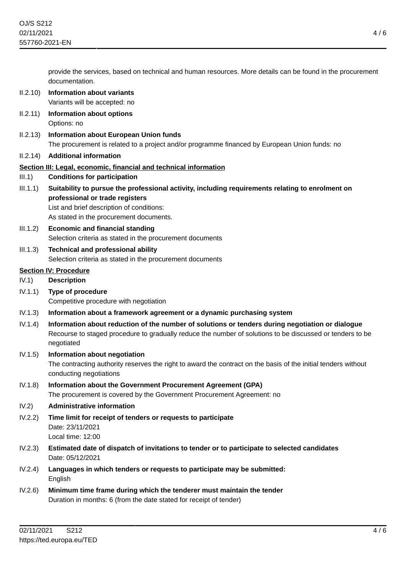provide the services, based on technical and human resources. More details can be found in the procurement documentation.

- II.2.10) **Information about variants** Variants will be accepted: no
- II.2.11) **Information about options** Options: no
- II.2.13) **Information about European Union funds** The procurement is related to a project and/or programme financed by European Union funds: no
- II.2.14) **Additional information**

# **Section III: Legal, economic, financial and technical information**

- III.1) **Conditions for participation**
- III.1.1) **Suitability to pursue the professional activity, including requirements relating to enrolment on professional or trade registers** List and brief description of conditions:

As stated in the procurement documents.

- III.1.2) **Economic and financial standing** Selection criteria as stated in the procurement documents
- III.1.3) **Technical and professional ability** Selection criteria as stated in the procurement documents

# **Section IV: Procedure**

- IV.1) **Description**
- IV.1.1) **Type of procedure** Competitive procedure with negotiation
- IV.1.3) **Information about a framework agreement or a dynamic purchasing system**
- IV.1.4) **Information about reduction of the number of solutions or tenders during negotiation or dialogue** Recourse to staged procedure to gradually reduce the number of solutions to be discussed or tenders to be negotiated
- IV.1.5) **Information about negotiation** The contracting authority reserves the right to award the contract on the basis of the initial tenders without conducting negotiations IV.1.8) **Information about the Government Procurement Agreement (GPA)**

The procurement is covered by the Government Procurement Agreement: no

- IV.2) **Administrative information**
- IV.2.2) **Time limit for receipt of tenders or requests to participate** Date: 23/11/2021 Local time: 12:00
- IV.2.3) **Estimated date of dispatch of invitations to tender or to participate to selected candidates** Date: 05/12/2021
- IV.2.4) **Languages in which tenders or requests to participate may be submitted: English**
- IV.2.6) **Minimum time frame during which the tenderer must maintain the tender** Duration in months: 6 (from the date stated for receipt of tender)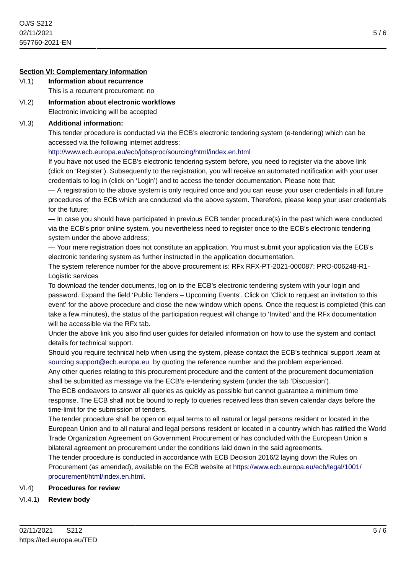## **Section VI: Complementary information**

- VI.1) **Information about recurrence** This is a recurrent procurement: no
- VI.2) **Information about electronic workflows** Electronic invoicing will be accepted

# VI.3) **Additional information:**

This tender procedure is conducted via the ECB's electronic tendering system (e-tendering) which can be accessed via the following internet address:

## <http://www.ecb.europa.eu/ecb/jobsproc/sourcing/html/index.en.html>

If you have not used the ECB's electronic tendering system before, you need to register via the above link (click on 'Register'). Subsequently to the registration, you will receive an automated notification with your user credentials to log in (click on 'Login') and to access the tender documentation. Please note that:

— A registration to the above system is only required once and you can reuse your user credentials in all future procedures of the ECB which are conducted via the above system. Therefore, please keep your user credentials for the future;

— In case you should have participated in previous ECB tender procedure(s) in the past which were conducted via the ECB's prior online system, you nevertheless need to register once to the ECB's electronic tendering system under the above address;

— Your mere registration does not constitute an application. You must submit your application via the ECB's electronic tendering system as further instructed in the application documentation.

The system reference number for the above procurement is: RFx RFX-PT-2021-000087: PRO-006248-R1- Logistic services

To download the tender documents, log on to the ECB's electronic tendering system with your login and password. Expand the field 'Public Tenders – Upcoming Events'. Click on 'Click to request an invitation to this event' for the above procedure and close the new window which opens. Once the request is completed (this can take a few minutes), the status of the participation request will change to 'Invited' and the RFx documentation will be accessible via the RFx tab.

Under the above link you also find user guides for detailed information on how to use the system and contact details for technical support.

Should you require technical help when using the system, please contact the ECB's technical support .team at [sourcing.support@ecb.europa.eu](mailto:sourcing.support@ecb.europa.eu) by quoting the reference number and the problem experienced.

Any other queries relating to this procurement procedure and the content of the procurement documentation shall be submitted as message via the ECB's e-tendering system (under the tab 'Discussion').

The ECB endeavors to answer all queries as quickly as possible but cannot guarantee a minimum time response. The ECB shall not be bound to reply to queries received less than seven calendar days before the time-limit for the submission of tenders.

The tender procedure shall be open on equal terms to all natural or legal persons resident or located in the European Union and to all natural and legal persons resident or located in a country which has ratified the World Trade Organization Agreement on Government Procurement or has concluded with the European Union a bilateral agreement on procurement under the conditions laid down in the said agreements.

The tender procedure is conducted in accordance with ECB Decision 2016/2 laying down the Rules on Procurement (as amended), available on the ECB website at [https://www.ecb.europa.eu/ecb/legal/1001/](https://www.ecb.europa.eu/ecb/legal/1001/procurement/html/index.en.html) [procurement/html/index.en.html.](https://www.ecb.europa.eu/ecb/legal/1001/procurement/html/index.en.html)

# VI.4) **Procedures for review**

VI.4.1) **Review body**